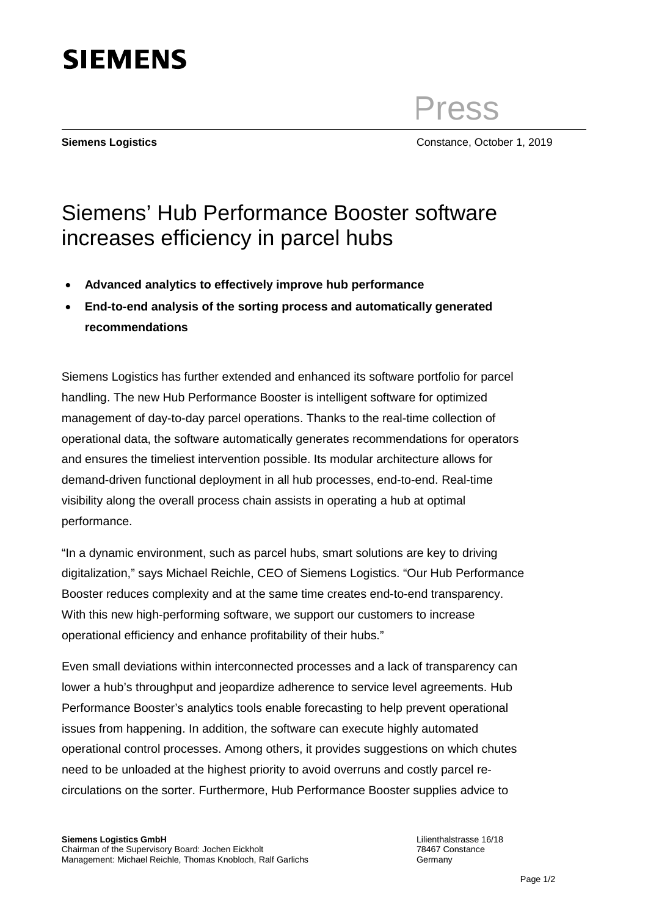

Press

**Siemens Logistics** Constance, October 1, 2019

## Siemens' Hub Performance Booster software increases efficiency in parcel hubs

- **Advanced analytics to effectively improve hub performance**
- **End-to-end analysis of the sorting process and automatically generated recommendations**

Siemens Logistics has further extended and enhanced its software portfolio for parcel handling. The new Hub Performance Booster is intelligent software for optimized management of day-to-day parcel operations. Thanks to the real-time collection of operational data, the software automatically generates recommendations for operators and ensures the timeliest intervention possible. Its modular architecture allows for demand-driven functional deployment in all hub processes, end-to-end. Real-time visibility along the overall process chain assists in operating a hub at optimal performance.

"In a dynamic environment, such as parcel hubs, smart solutions are key to driving digitalization," says Michael Reichle, CEO of Siemens Logistics. "Our Hub Performance Booster reduces complexity and at the same time creates end-to-end transparency. With this new high-performing software, we support our customers to increase operational efficiency and enhance profitability of their hubs."

Even small deviations within interconnected processes and a lack of transparency can lower a hub's throughput and jeopardize adherence to service level agreements. Hub Performance Booster's analytics tools enable forecasting to help prevent operational issues from happening. In addition, the software can execute highly automated operational control processes. Among others, it provides suggestions on which chutes need to be unloaded at the highest priority to avoid overruns and costly parcel recirculations on the sorter. Furthermore, Hub Performance Booster supplies advice to

Lilienthalstrasse 16/18 78467 Constance **Germany**